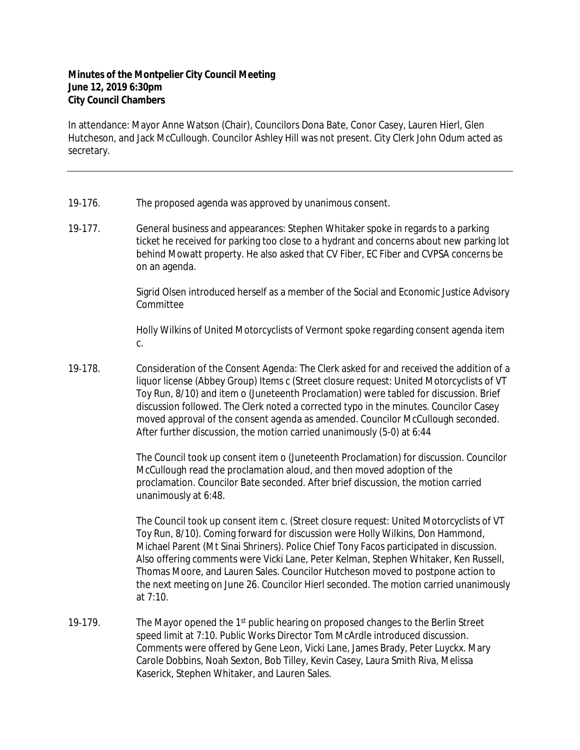## **Minutes of the Montpelier City Council Meeting June 12, 2019 6:30pm City Council Chambers**

In attendance: Mayor Anne Watson (Chair), Councilors Dona Bate, Conor Casey, Lauren Hierl, Glen Hutcheson, and Jack McCullough. Councilor Ashley Hill was not present. City Clerk John Odum acted as secretary.

- 19-176. The proposed agenda was approved by unanimous consent.
- 19-177. General business and appearances: Stephen Whitaker spoke in regards to a parking ticket he received for parking too close to a hydrant and concerns about new parking lot behind Mowatt property. He also asked that CV Fiber, EC Fiber and CVPSA concerns be on an agenda.

Sigrid Olsen introduced herself as a member of the Social and Economic Justice Advisory Committee

Holly Wilkins of United Motorcyclists of Vermont spoke regarding consent agenda item c.

19-178. Consideration of the Consent Agenda: The Clerk asked for and received the addition of a liquor license (Abbey Group) Items c (Street closure request: United Motorcyclists of VT Toy Run, 8/10) and item o (Juneteenth Proclamation) were tabled for discussion. Brief discussion followed. The Clerk noted a corrected typo in the minutes. Councilor Casey moved approval of the consent agenda as amended. Councilor McCullough seconded. After further discussion, the motion carried unanimously (5-0) at 6:44

> The Council took up consent item o (Juneteenth Proclamation) for discussion. Councilor McCullough read the proclamation aloud, and then moved adoption of the proclamation. Councilor Bate seconded. After brief discussion, the motion carried unanimously at 6:48.

> The Council took up consent item c. (Street closure request: United Motorcyclists of VT Toy Run, 8/10). Coming forward for discussion were Holly Wilkins, Don Hammond, Michael Parent (Mt Sinai Shriners). Police Chief Tony Facos participated in discussion. Also offering comments were Vicki Lane, Peter Kelman, Stephen Whitaker, Ken Russell, Thomas Moore, and Lauren Sales. Councilor Hutcheson moved to postpone action to the next meeting on June 26. Councilor Hierl seconded. The motion carried unanimously at 7:10.

19-179. The Mayor opened the 1<sup>st</sup> public hearing on proposed changes to the Berlin Street speed limit at 7:10. Public Works Director Tom McArdle introduced discussion. Comments were offered by Gene Leon, Vicki Lane, James Brady, Peter Luyckx. Mary Carole Dobbins, Noah Sexton, Bob Tilley, Kevin Casey, Laura Smith Riva, Melissa Kaserick, Stephen Whitaker, and Lauren Sales.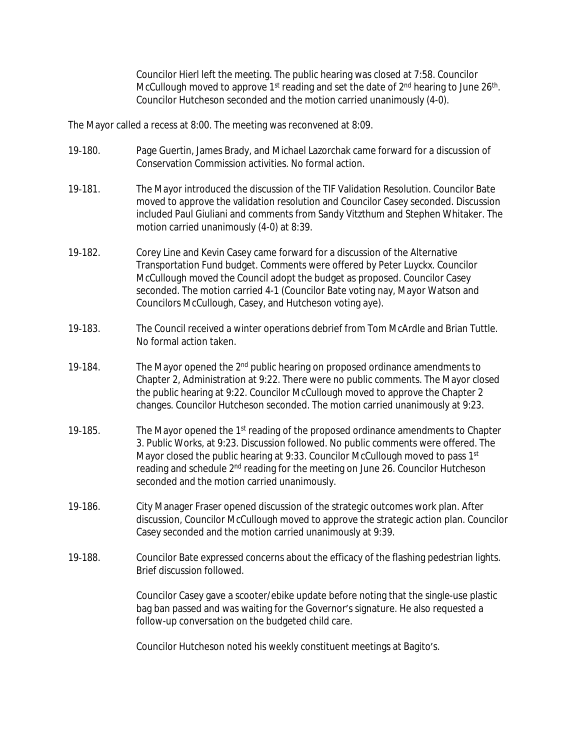Councilor Hierl left the meeting. The public hearing was closed at 7:58. Councilor McCullough moved to approve 1<sup>st</sup> reading and set the date of 2<sup>nd</sup> hearing to June 26<sup>th</sup>. Councilor Hutcheson seconded and the motion carried unanimously (4-0).

The Mayor called a recess at 8:00. The meeting was reconvened at 8:09.

- 19-180. Page Guertin, James Brady, and Michael Lazorchak came forward for a discussion of Conservation Commission activities. No formal action.
- 19-181. The Mayor introduced the discussion of the TIF Validation Resolution. Councilor Bate moved to approve the validation resolution and Councilor Casey seconded. Discussion included Paul Giuliani and comments from Sandy Vitzthum and Stephen Whitaker. The motion carried unanimously (4-0) at 8:39.
- 19‐182. Corey Line and Kevin Casey came forward for a discussion of the Alternative Transportation Fund budget. Comments were offered by Peter Luyckx. Councilor McCullough moved the Council adopt the budget as proposed. Councilor Casey seconded. The motion carried 4-1 (Councilor Bate voting nay, Mayor Watson and Councilors McCullough, Casey, and Hutcheson voting aye).
- 19‐183. The Council received a winter operations debrief from Tom McArdle and Brian Tuttle. No formal action taken.
- 19-184. The Mayor opened the 2<sup>nd</sup> public hearing on proposed ordinance amendments to Chapter 2, Administration at 9:22. There were no public comments. The Mayor closed the public hearing at 9:22. Councilor McCullough moved to approve the Chapter 2 changes. Councilor Hutcheson seconded. The motion carried unanimously at 9:23.
- 19-185. The Mayor opened the  $1<sup>st</sup>$  reading of the proposed ordinance amendments to Chapter 3. Public Works, at 9:23. Discussion followed. No public comments were offered. The Mayor closed the public hearing at 9:33. Councilor McCullough moved to pass 1<sup>st</sup> reading and schedule 2nd reading for the meeting on June 26. Councilor Hutcheson seconded and the motion carried unanimously.
- 19‐186. City Manager Fraser opened discussion of the strategic outcomes work plan. After discussion, Councilor McCullough moved to approve the strategic action plan. Councilor Casey seconded and the motion carried unanimously at 9:39.
- 19-188. Councilor Bate expressed concerns about the efficacy of the flashing pedestrian lights. Brief discussion followed.

Councilor Casey gave a scooter/ebike update before noting that the single-use plastic bag ban passed and was waiting for the Governor's signature. He also requested a follow-up conversation on the budgeted child care.

Councilor Hutcheson noted his weekly constituent meetings at Bagito's.